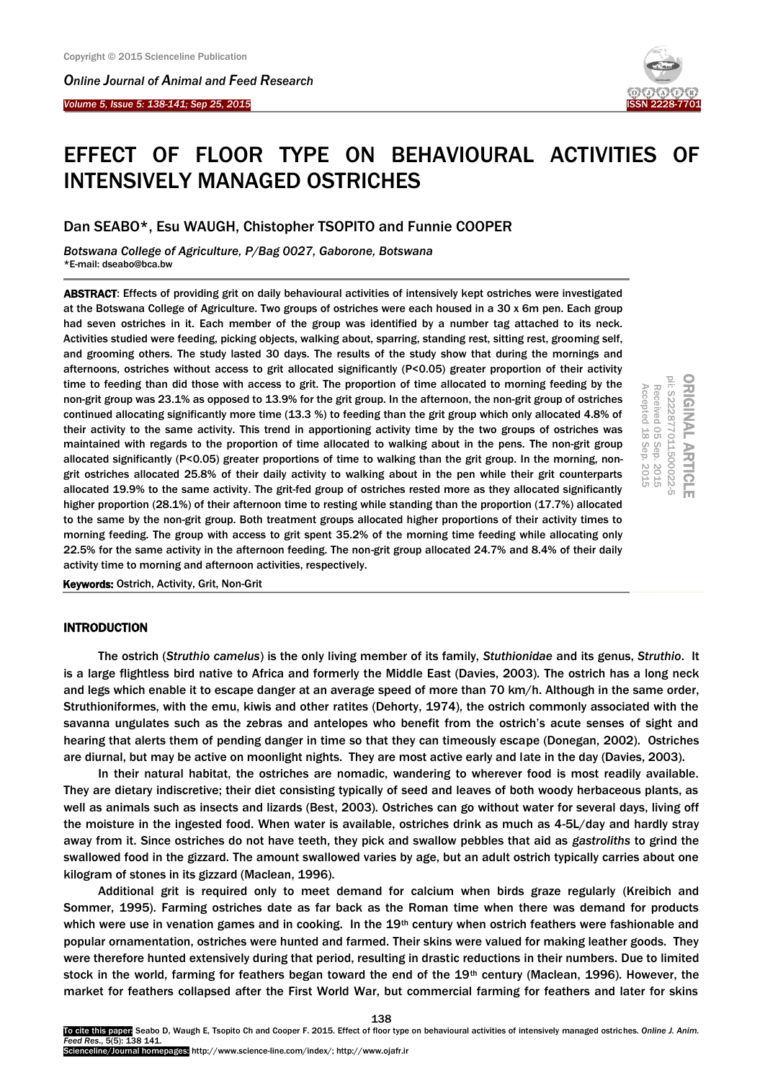*Online Journal of A[nimal and](http://www.ojafr.ir/main/) Feed Research*

*Volume 5, Issue 5: 138-141; Sep 25, 2015* I



# EFFECT OF FLOOR TYPE ON BEHAVIOURAL ACTIVITIES OF INTENSIVELY MANAGED OSTRICHES

## Dan SEABO\*, Esu WAUGH, Chistopher TSOPITO and Funnie COOPER

*Botswana College of Agriculture, P/Bag 0027, Gaborone, Botswana* \*E-mail: dseabo@bca.bw

ABSTRACT: Effects of providing grit on daily behavioural activities of intensively kept ostriches were investigated at the Botswana College of Agriculture. Two groups of ostriches were each housed in a 30 x 6m pen. Each group had seven ostriches in it. Each member of the group was identified by a number tag attached to its neck. Activities studied were feeding, picking objects, walking about, sparring, standing rest, sitting rest, grooming self, and grooming others. The study lasted 30 days. The results of the study show that during the mornings and afternoons, ostriches without access to grit allocated significantly (P<0.05) greater proportion of their activity time to feeding than did those with access to grit. The proportion of time allocated to morning feeding by the non-grit group was 23.1% as opposed to 13.9% for the grit group. In the afternoon, the non-grit group of ostriches continued allocating significantly more time (13.3 %) to feeding than the grit group which only allocated 4.8% of their activity to the same activity. This trend in apportioning activity time by the two groups of ostriches was maintained with regards to the proportion of time allocated to walking about in the pens. The non-grit group allocated significantly (P<0.05) greater proportions of time to walking than the grit group. In the morning, nongrit ostriches allocated 25.8% of their daily activity to walking about in the pen while their grit counterparts allocated 19.9% to the same activity. The grit-fed group of ostriches rested more as they allocated significantly higher proportion (28.1%) of their afternoon time to resting while standing than the proportion (17.7%) allocated to the same by the non-grit group. Both treatment groups allocated higher proportions of their activity times to morning feeding. The group with access to grit spent 35.2% of the morning time feeding while allocating only 22.5% for the same activity in the afternoon feeding. The non-grit group allocated 24.7% and 8.4% of their daily activity time to morning and afternoon activities, respectively.



Keywords: Ostrich, Activity, Grit, Non-Grit

## INTRODUCTION

The ostrich (*Struthio camelus*) is the only living member of its family, *Stuthionidae* and its genus, *Struthio*. It is a large flightless bird native to Africa and formerly the Middle East (Davies, 2003). The ostrich has a long neck and legs which enable it to escape danger at an average speed of more than 70 km/h. Although in the same order, Struthioniformes, with the emu, kiwis and other ratites (Dehorty, 1974), the ostrich commonly associated with the savanna ungulates such as the zebras and antelopes who benefit from the ostrich's acute senses of sight and hearing that alerts them of pending danger in time so that they can timeously escape (Donegan, 2002). Ostriches are diurnal, but may be active on moonlight nights. They are most active early and late in the day (Davies, 2003).

In their natural habitat, the ostriches are nomadic, wandering to wherever food is most readily available. They are dietary indiscretive; their diet consisting typically of seed and leaves of both woody herbaceous plants, as well as animals such as insects and lizards (Best, 2003). Ostriches can go without water for several days, living off the moisture in the ingested food. When water is available, ostriches drink as much as 4-5L/day and hardly stray away from it. Since ostriches do not have teeth, they pick and swallow pebbles that aid as *gastroliths* to grind the swallowed food in the gizzard. The amount swallowed varies by age, but an adult ostrich typically carries about one kilogram of stones in its gizzard (Maclean, 1996).

Additional grit is required only to meet demand for calcium when birds graze regularly (Kreibich and Sommer, 1995). Farming ostriches date as far back as the Roman time when there was demand for products which were use in venation games and in cooking. In the  $19<sup>th</sup>$  century when ostrich feathers were fashionable and popular ornamentation, ostriches were hunted and farmed. Their skins were valued for making leather goods. They were therefore hunted extensively during that period, resulting in drastic reductions in their numbers. Due to limited stock in the world, farming for feathers began toward the end of the 19th century (Maclean, 1996). However, the market for feathers collapsed after the First World War, but commercial farming for feathers and later for skins

138 To cite this paper: Seabo D, Waugh E, Tsopito Ch and Cooper F. 2015. Effect of floor type on behavioural activities of intensively managed ostriches. *Online J. Anim. Feed Res*., 5(5): 138 141. Scienceline/Journal homepages: http://www.science-line.com/index/; http://www.ojafr.ir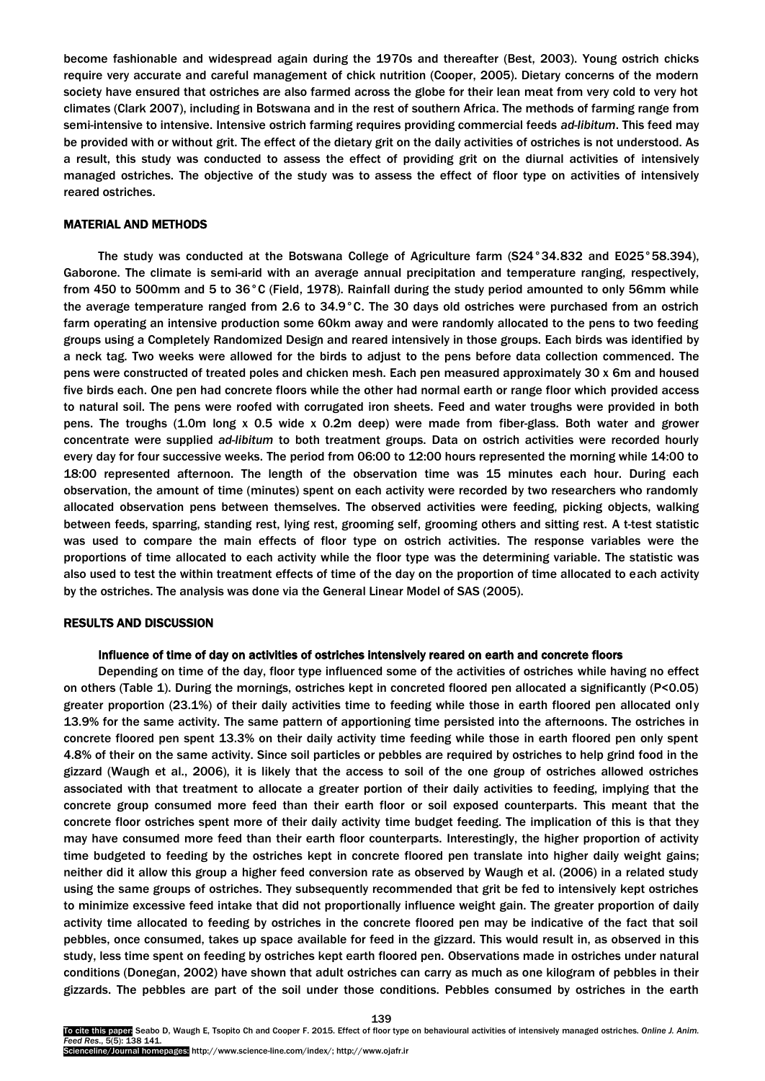become fashionable and widespread again during the 1970s and thereafter (Best, 2003). Young ostrich chicks require very accurate and careful management of chick nutrition (Cooper, 2005). Dietary concerns of the modern society have ensured that ostriches are also farmed across the globe for their lean meat from very cold to very hot climates (Clark 2007), including in Botswana and in the rest of southern Africa. The methods of farming range from semi-intensive to intensive. Intensive ostrich farming requires providing commercial feeds *ad-libitum*. This feed may be provided with or without grit. The effect of the dietary grit on the daily activities of ostriches is not understood. As a result, this study was conducted to assess the effect of providing grit on the diurnal activities of intensively managed ostriches. The objective of the study was to assess the effect of floor type on activities of intensively reared ostriches.

## MATERIAL AND METHODS

The study was conducted at the Botswana College of Agriculture farm (S24°34.832 and E025°58.394), Gaborone. The climate is semi-arid with an average annual precipitation and temperature ranging, respectively, from 450 to 500mm and 5 to 36°C (Field, 1978). Rainfall during the study period amounted to only 56mm while the average temperature ranged from 2.6 to 34.9°C. The 30 days old ostriches were purchased from an ostrich farm operating an intensive production some 60km away and were randomly allocated to the pens to two feeding groups using a Completely Randomized Design and reared intensively in those groups. Each birds was identified by a neck tag. Two weeks were allowed for the birds to adjust to the pens before data collection commenced. The pens were constructed of treated poles and chicken mesh. Each pen measured approximately 30 x 6m and housed five birds each. One pen had concrete floors while the other had normal earth or range floor which provided access to natural soil. The pens were roofed with corrugated iron sheets. Feed and water troughs were provided in both pens. The troughs (1.0m long x 0.5 wide x 0.2m deep) were made from fiber-glass. Both water and grower concentrate were supplied *ad-libitum* to both treatment groups. Data on ostrich activities were recorded hourly every day for four successive weeks. The period from 06:00 to 12:00 hours represented the morning while 14:00 to 18:00 represented afternoon. The length of the observation time was 15 minutes each hour. During each observation, the amount of time (minutes) spent on each activity were recorded by two researchers who randomly allocated observation pens between themselves. The observed activities were feeding, picking objects, walking between feeds, sparring, standing rest, lying rest, grooming self, grooming others and sitting rest. A t-test statistic was used to compare the main effects of floor type on ostrich activities. The response variables were the proportions of time allocated to each activity while the floor type was the determining variable. The statistic was also used to test the within treatment effects of time of the day on the proportion of time allocated to each activity by the ostriches. The analysis was done via the General Linear Model of SAS (2005).

## RESULTS AND DISCUSSION

#### Influence of time of day on activities of ostriches intensively reared on earth and concrete floors

Depending on time of the day, floor type influenced some of the activities of ostriches while having no effect on others (Table 1). During the mornings, ostriches kept in concreted floored pen allocated a significantly (P<0.05) greater proportion (23.1%) of their daily activities time to feeding while those in earth floored pen allocated only 13.9% for the same activity. The same pattern of apportioning time persisted into the afternoons. The ostriches in concrete floored pen spent 13.3% on their daily activity time feeding while those in earth floored pen only spent 4.8% of their on the same activity. Since soil particles or pebbles are required by ostriches to help grind food in the gizzard (Waugh et al., 2006), it is likely that the access to soil of the one group of ostriches allowed ostriches associated with that treatment to allocate a greater portion of their daily activities to feeding, implying that the concrete group consumed more feed than their earth floor or soil exposed counterparts. This meant that the concrete floor ostriches spent more of their daily activity time budget feeding. The implication of this is that they may have consumed more feed than their earth floor counterparts. Interestingly, the higher proportion of activity time budgeted to feeding by the ostriches kept in concrete floored pen translate into higher daily weight gains; neither did it allow this group a higher feed conversion rate as observed by Waugh et al. (2006) in a related study using the same groups of ostriches. They subsequently recommended that grit be fed to intensively kept ostriches to minimize excessive feed intake that did not proportionally influence weight gain. The greater proportion of daily activity time allocated to feeding by ostriches in the concrete floored pen may be indicative of the fact that soil pebbles, once consumed, takes up space available for feed in the gizzard. This would result in, as observed in this study, less time spent on feeding by ostriches kept earth floored pen. Observations made in ostriches under natural conditions (Donegan, 2002) have shown that adult ostriches can carry as much as one kilogram of pebbles in their gizzards. The pebbles are part of the soil under those conditions. Pebbles consumed by ostriches in the earth

Scienceline/Journal homepages: http://www.science-line.com/index/; http://www.ojafr.ir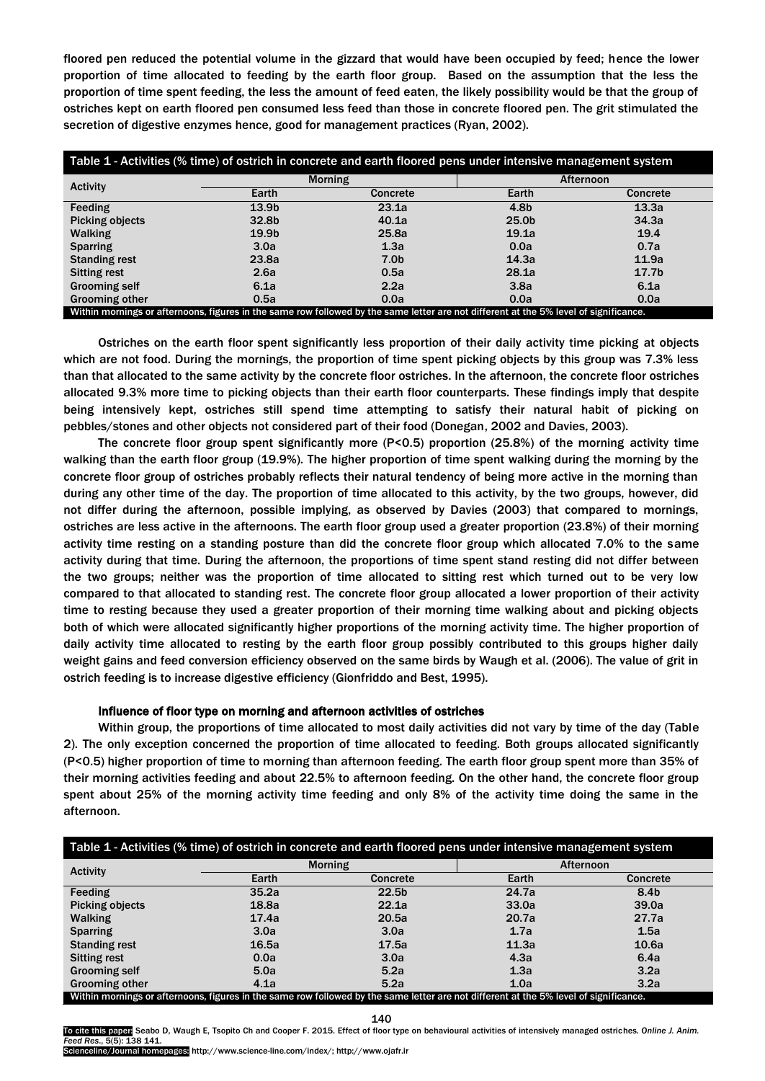floored pen reduced the potential volume in the gizzard that would have been occupied by feed; hence the lower proportion of time allocated to feeding by the earth floor group. Based on the assumption that the less the proportion of time spent feeding, the less the amount of feed eaten, the likely possibility would be that the group of ostriches kept on earth floored pen consumed less feed than those in concrete floored pen. The grit stimulated the secretion of digestive enzymes hence, good for management practices (Ryan, 2002).

| Table 1 - Activities (% time) of ostrich in concrete and earth floored pens under intensive management system                         |                   |                  |                   |                   |  |  |
|---------------------------------------------------------------------------------------------------------------------------------------|-------------------|------------------|-------------------|-------------------|--|--|
| <b>Activity</b>                                                                                                                       | <b>Morning</b>    |                  | Afternoon         |                   |  |  |
|                                                                                                                                       | Earth             | <b>Concrete</b>  | Earth             | <b>Concrete</b>   |  |  |
| Feeding                                                                                                                               | 13.9 <sub>b</sub> | 23.1a            | 4.8b              | 13.3a             |  |  |
| <b>Picking objects</b>                                                                                                                | 32.8b             | 40.1a            | 25.0 <sub>b</sub> | 34.3a             |  |  |
| <b>Walking</b>                                                                                                                        | 19.9 <sub>b</sub> | 25.8a            | 19.1a             | 19.4              |  |  |
| <b>Sparring</b>                                                                                                                       | 3.0a              | 1.3a             | 0.0a              | 0.7a              |  |  |
| <b>Standing rest</b>                                                                                                                  | 23.8a             | 7.0 <sub>b</sub> | 14.3a             | 11.9a             |  |  |
| <b>Sitting rest</b>                                                                                                                   | 2.6a              | 0.5a             | 28.1a             | 17.7 <sub>b</sub> |  |  |
| <b>Grooming self</b>                                                                                                                  | 6.1a              | 2.2a             | 3.8a              | 6.1a              |  |  |
| Grooming other                                                                                                                        | 0.5a              | 0.0a             | 0.0a              | 0.0a              |  |  |
| Within mornings or afternoons, figures in the same row followed by the same letter are not different at the 5% level of significance. |                   |                  |                   |                   |  |  |

Ostriches on the earth floor spent significantly less proportion of their daily activity time picking at objects which are not food. During the mornings, the proportion of time spent picking objects by this group was 7.3% less than that allocated to the same activity by the concrete floor ostriches. In the afternoon, the concrete floor ostriches allocated 9.3% more time to picking objects than their earth floor counterparts. These findings imply that despite being intensively kept, ostriches still spend time attempting to satisfy their natural habit of picking on pebbles/stones and other objects not considered part of their food (Donegan, 2002 and Davies, 2003).

The concrete floor group spent significantly more (P<0.5) proportion (25.8%) of the morning activity time walking than the earth floor group (19.9%). The higher proportion of time spent walking during the morning by the concrete floor group of ostriches probably reflects their natural tendency of being more active in the morning than during any other time of the day. The proportion of time allocated to this activity, by the two groups, however, did not differ during the afternoon, possible implying, as observed by Davies (2003) that compared to mornings, ostriches are less active in the afternoons. The earth floor group used a greater proportion (23.8%) of their morning activity time resting on a standing posture than did the concrete floor group which allocated 7.0% to the same activity during that time. During the afternoon, the proportions of time spent stand resting did not differ between the two groups; neither was the proportion of time allocated to sitting rest which turned out to be very low compared to that allocated to standing rest. The concrete floor group allocated a lower proportion of their activity time to resting because they used a greater proportion of their morning time walking about and picking objects both of which were allocated significantly higher proportions of the morning activity time. The higher proportion of daily activity time allocated to resting by the earth floor group possibly contributed to this groups higher daily weight gains and feed conversion efficiency observed on the same birds by Waugh et al. (2006). The value of grit in ostrich feeding is to increase digestive efficiency (Gionfriddo and Best, 1995).

## Influence of floor type on morning and afternoon activities of ostriches

Within group, the proportions of time allocated to most daily activities did not vary by time of the day (Table 2). The only exception concerned the proportion of time allocated to feeding. Both groups allocated significantly (P<0.5) higher proportion of time to morning than afternoon feeding. The earth floor group spent more than 35% of their morning activities feeding and about 22.5% to afternoon feeding. On the other hand, the concrete floor group spent about 25% of the morning activity time feeding and only 8% of the activity time doing the same in the afternoon.

| Table 1 - Activities (% time) of ostrich in concrete and earth floored pens under intensive management system |                |                                                                                                                                       |           |                  |  |  |
|---------------------------------------------------------------------------------------------------------------|----------------|---------------------------------------------------------------------------------------------------------------------------------------|-----------|------------------|--|--|
| <b>Activity</b>                                                                                               | <b>Morning</b> |                                                                                                                                       | Afternoon |                  |  |  |
|                                                                                                               | Earth          | <b>Concrete</b>                                                                                                                       | Earth     | Concrete         |  |  |
| Feeding                                                                                                       | 35.2a          | 22.5 <sub>b</sub>                                                                                                                     | 24.7a     | 8.4 <sub>b</sub> |  |  |
| <b>Picking objects</b>                                                                                        | 18.8a          | 22.1a                                                                                                                                 | 33.0a     | 39.0a            |  |  |
| <b>Walking</b>                                                                                                | 17.4a          | 20.5a                                                                                                                                 | 20.7a     | 27.7a            |  |  |
| <b>Sparring</b>                                                                                               | 3.0a           | 3.0a                                                                                                                                  | 1.7a      | 1.5a             |  |  |
| <b>Standing rest</b>                                                                                          | 16.5a          | 17.5a                                                                                                                                 | 11.3a     | 10.6a            |  |  |
| <b>Sitting rest</b>                                                                                           | 0.0a           | 3.0a                                                                                                                                  | 4.3a      | 6.4a             |  |  |
| <b>Grooming self</b>                                                                                          | 5.0a           | 5.2a                                                                                                                                  | 1.3a      | 3.2a             |  |  |
| <b>Grooming other</b>                                                                                         | 4.1a           | 5.2a                                                                                                                                  | 1.0a      | 3.2a             |  |  |
|                                                                                                               |                | Within mornings or afternoons, figures in the same row followed by the same letter are not different at the 5% level of significance. |           |                  |  |  |

140

To cite this paper: Seabo D, Waugh E, Tsopito Ch and Cooper F. 2015. Effect of floor type on behavioural activities of intensively managed ostriches. *Online J. Anim. Feed Res*., 5(5): 138 141.